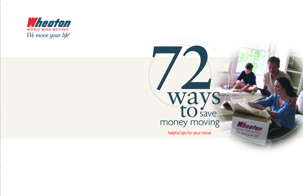

### **72** ways way<br> **to** save<br>
money moving s av e Wheaton helpful tips for your move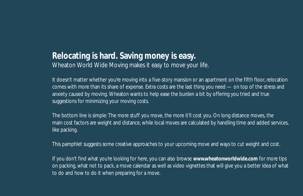#### **Relocating is hard. Saving money is easy.**

Wheaton World Wide Moving makes it easy to *move your life*.

It doesn't matter whether you're moving into a five-story mansion or an apartment on the fifth floor, relocation comes with more than its share of expense. Extra costs are the last thing you need — on top of the stress and anxiety caused by moving. Wheaton wants to help ease the burden a bit by offering you tried and true suggestions for minimizing your moving costs.

The bottom line is simple: The more stuff you move, the more it'll cost you. On long distance moves, the main cost factors are weight and distance, while local moves are calculated by handling time and added services, like packing.

This pamphlet suggests some creative approaches to your upcoming move and ways to cut weight and cost.

If you don't find what you're looking for here, you can also browse **www.wheatonworldwide.com** for more tips on packing, what not to pack, a move calendar as well as video vignettes that will give you a better idea of what to do and how to do it when preparing for a move.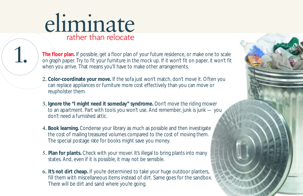## eliminate rather than relocate

**The floor plan.** If possible, get a floor plan of your future residence, or make one to scale on graph paper. Try to fit your furniture in the mock up. If it won't fit on paper, it won't fit when you arrive. That means you'll have to make other arrangements.

- **2. Color-coordinate your move.** If the sofa just won't match, don't move it. Often you can replace appliances or furniture more cost effectively than you can move or reupholster them.
- **3. Ignore the "I might need it someday" syndrome.** Don't move the riding mower to an apartment. Part with tools you won't use. And remember, junk is junk — you don't need a furnished attic.
- **4. Book learning.** Condense your library as much as possible and then investigate the cost of mailing treasured volumes compared to the cost of moving them. The special postage rate for books might save you money.
- **5. Plan for plants.** Check with your mover. It's illegal to bring plants into many states. And, even if it is possible, it may not be sensible.
- **6. It's not dirt cheap.** If you're determined to take your huge outdoor planters, fill them with miscellaneous items instead of dirt. Same goes for the sandbox. There will be dirt and sand where you're going.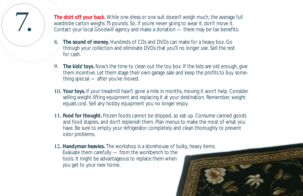**7. The shirt off your back.** While one dress or one suit doesn't weigh much, the average full wardrobe carton weighs 75 pounds. So, if you're never going to wear it, don't move it.<br>Contact your local Goodwill agency and m wardrobe carton weighs 75 pounds. So, if you're never going to wear it, don't move it. Contact your local Goodwill agency and make a donation — there may be tax benefits.

- **8. The sound of money.** Hundreds of CDs and DVDs can make for a heavy box. Go through your collection and eliminate DVDs that you'll no longer use. Sell the rest for cash.
- **9. The kids' toys.** Now's the time to clean out the toy box. If the kids are old enough, give them incentive. Let them stage their own garage sale and keep the profits to buy something special — after you've moved.
- **10. Your toys.** If your treadmill hasn't gone a mile in months, moving it won't help. Consider selling weight-lifting equipment and replacing it at your destination. Remember, weight equals cost. Sell any hobby equipment you no longer enjoy.
- **11. Food for thought.** Frozen foods cannot be shipped, so eat up. Consume canned goods and food staples, and don't replenish them. Plan menus to make the most of what you have. Be sure to empty your refrigerator completely and clean thoroughly to prevent odor problems.
- **12. Handyman heavies.** The workshop is a storehouse of bulky, heavy items. Evaluate them carefully — from the workbench to the tools. It might be advantageous to replace them when you get to your new home.

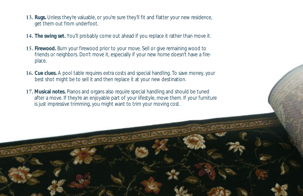- **13. Rugs.** Unless they're valuable, or you're sure they'll fit and flatter your new residence, get them out from underfoot.
- **14. The swing set.** You'll probably come out ahead if you replace it rather than move it.
- **15. Firewood.** Burn your firewood prior to your move. Sell or give remaining wood to friends or neighbors. Don't move it, especially if your new home doesn't have a fireplace.
- **16. Cue clues.** A pool table requires extra costs and special handling. To save money, your best shot might be to sell it and then replace it at your new destination.
- **17. Musical notes.** Pianos and organs also require special handling and should be tuned after a move. If they're an enjoyable part of your lifestyle, move them. If your furniture is just impressive trimming, you might want to trim your moving cost.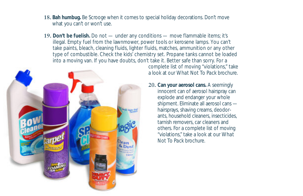- **18. Bah humbug.** Be Scrooge when it comes to special holiday decorations. Don't move what you can't or won't use.
- **19. Don't be fuelish.** Do not under any conditions move flammable items; it's illegal. Empty fuel from the lawnmower, power tools or kerosene lamps. You can't take paints, bleach, cleaning fluids, lighter fluids, matches, ammunition or any other type of combustible. Check the kids' chemistry set. Propane tanks cannot be loaded into a moving van. If you have doubts, don't take it. Better safe than sorry. For a



complete list of moving "violations," take a look at our *What Not To Pack* brochure.

**20. Can your aerosol cans.** A seemingly innocent can of aerosol hairspray can explode and endanger your whole shipment. Eliminate all aerosol cans hairsprays, shaving creams, deodorants, household cleaners, insecticides, tarnish removers, car cleaners and others. For a complete list of moving "violations," take a look at our *What Not To Pack* brochure.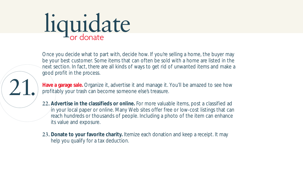## liquidate

Once you decide what to part with, decide how. If you're selling a home, the buyer may be your best customer. Some items that can often be sold with a home are listed in the next section. In fact, there are all kinds of ways to get rid of unwanted items and make a good profit in the process.

21.

**Have a garage sale.** Organize it, advertise it and manage it. You'll be amazed to see how profitably your trash can become someone else's treasure.

- **22. Advertise in the classifieds or online.** For more valuable items, post a classified ad in your local paper or online. Many Web sites offer free or low-cost listings that can reach hundreds or thousands of people. Including a photo of the item can enhance its value and exposure.
- **23. Donate to your favorite charity.** Itemize each donation and keep a receipt. It may help you qualify for a tax deduction.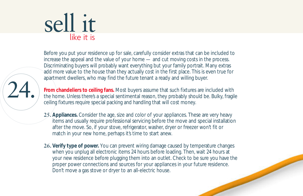### sell it like it is

24.

Before you put your residence up for sale, carefully consider extras that can be included to increase the appeal and the value of your home — and cut moving costs in the process. Discriminating buyers will probably want everything but your family portrait. Many extras add more value to the house than they actually cost in the first place. This is even true for apartment dwellers, who may find the future tenant a ready and willing buyer.

**From chandeliers to ceiling fans.** Most buyers assume that such fixtures are included with the home. Unless there's a special sentimental reason, they probably should be. Bulky, fragile ceiling fixtures require special packing and handling that will cost money.

- **25. Appliances.** Consider the age, size and color of your appliances. These are very heavy items and usually require professional servicing before the move and special installation after the move. So, if your stove, refrigerator, washer, dryer or freezer won't fit or match in your new home, perhaps it's time to start anew.
- **26. Verify type of power.** You can prevent wiring damage caused by temperature changes when you unplug all electronic items 24 hours before loading. Then, wait 24 hours at your new residence before plugging them into an outlet. Check to be sure you have the proper power connections and sources for your appliances in your future residence. Don't move a gas stove or dryer to an all-electric house.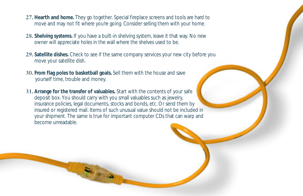- **27. Hearth and home.** They go together. Special fireplace screens and tools are hard to move and may not fit where you're going. Consider selling them with your home.
- **28. Shelving systems.** If you have a built-in shelving system, leave it that way. No new owner will appreciate holes in the wall where the shelves used to be.
- **29. Satellite dishes.** Check to see if the same company services your new city before you move your satellite dish.
- **30. From flag poles to basketball goals.** Sell them with the house and save yourself time, trouble and money.
- **31. Arrange for the transfer of valuables.** Start with the contents of your safe deposit box. You should carry with you small valuables such as jewelry, insurance policies, legal documents, stocks and bonds, etc. Or send them by insured or registered mail. Items of such unusual value should not be included in your shipment. The same is true for important computer CDs that can warp and become unreadable.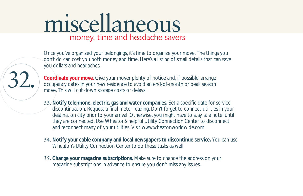### miscellaneous money, time and headache savers

Once you've organized your belongings, it's time to organize your move. The things you don't do can cost you both money and time. Here's a listing of small details that can save you dollars and headaches.



**Coordinate your move.** Give your mover plenty of notice and, if possible, arrange occupancy dates in your new residence to avoid an end-of-month or peak season move. This will cut down storage costs or delays.

- **33. Notify telephone, electric, gas and water companies.** Set a specific date for service discontinuation. Request a final meter reading. Don't forget to connect utilities in your destination city prior to your arrival. Otherwise, you might have to stay at a hotel until they are connected. Use Wheaton's helpful Utility Connection Center to disconnect and reconnect many of your utilities. Visit www.wheatonworldwide.com.
- **34. Notify your cable company and local newspapers to discontinue service.** You can use Wheaton's Utility Connection Center to do these tasks as well.
- **35. Change your magazine subscriptions.** Make sure to change the address on your magazine subscriptions in advance to ensure you don't miss any issues.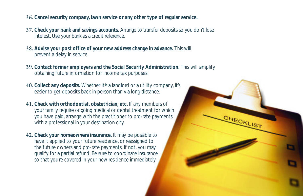- **36. Cancel security company, lawn service or any other type of regular service.**
- **37. Check your bank and savings accounts.** Arrange to transfer deposits so you don't lose interest. Use your bank as a credit reference.
- **38. Advise your post office of your new address change in advance.** This will prevent a delay in service.
- **39. Contact former employers and the Social Security Administration.** This will simplify obtaining future information for income tax purposes.

CHECKLIST

- **40. Collect any deposits.** Whether it's a landlord or a utility company, it's easier to get deposits back in person than via long distance.
- **41. Check with orthodontist, obstetrician, etc.** If any members of your family require ongoing medical or dental treatment for which you have paid, arrange with the practitioner to pro-rate payments with a professional in your destination city.
- **42. Check your homeowners insurance.** It may be possible to have it applied to your future residence, or reassigned to the future owners and pro-rate payments. If not, you may qualify for a partial refund. Be sure to coordinate insurance so that you're covered in your new residence immediately.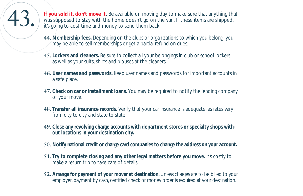

**43.** If you sold it, don't move it. Be available on moving day to make sure that anything that was supposed to stay with the home doesn't go on the van. If these items are shipped, it's going to cost time and money to sen was supposed to stay with the home doesn't go on the van. If these items are shipped, it's going to cost time and money to send them back.

- **44. Membership fees.** Depending on the clubs or organizations to which you belong, you may be able to sell memberships or get a partial refund on dues.
- **45. Lockers and cleaners.** Be sure to collect all your belongings in club or school lockers as well as your suits, shirts and blouses at the cleaners.
- **46. User names and passwords.** Keep user names and passwords for important accounts in a safe place.
- **47. Check on car or installment loans.** You may be required to notify the lending company of your move.
- **48. Transfer all insurance records.** Verify that your car insurance is adequate, as rates vary from city to city and state to state.
- **49. Close any revolving charge accounts with department stores or specialty shops without locations in your destination city.**
- **50. Notify national credit or charge card companies to change the address on your account.**
- **51. Try to complete closing and any other legal matters before you move.** It's costly to make a return trip to take care of details.
- **52. Arrange for payment of your mover at destination.** Unless charges are to be billed to your employer, payment by cash, certified check or money order is required at your destination.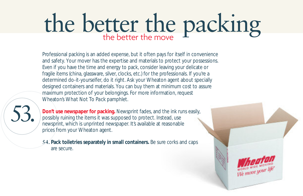# the better the packing

Professional packing is an added expense, but it often pays for itself in convenience and safety. Your mover has the expertise and materials to protect your possessions. Even if you have the time and energy to pack, consider leaving your delicate or fragile items (china, glassware, silver, clocks, etc.) for the professionals. If you're a determined do-it-yourselfer, do it right. Ask your Wheaton agent about specially designed containers and materials. You can buy them at minimum cost to assure maximum protection of your belongings. For more information, request Wheaton's *What Not To Pack* pamphlet.



**Don't use newspaper for packing.** Newsprint fades, and the ink runs easily, possibly ruining the items it was supposed to protect. Instead, use newsprint, which is unprinted newspaper. It's available at reasonable prices from your Wheaton agent.

**54. Pack toiletries separately in small containers.** Be sure corks and caps are secure.

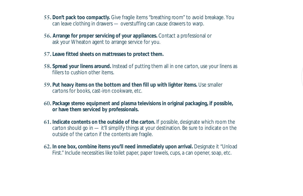- **55. Don't pack too compactly.** Give fragile items "breathing room" to avoid breakage. You can leave clothing in drawers — overstuffing can cause drawers to warp.
- **56. Arrange for proper servicing of your appliances.** Contact a professional or ask your Wheaton agent to arrange service for you.
- **57. Leave fitted sheets on mattresses to protect them.**
- **58. Spread your linens around.** Instead of putting them all in one carton, use your linens as fillers to cushion other items.
- **59. Put heavy items on the bottom and then fill up with lighter items.** Use smaller cartons for books, cast-iron cookware, etc.
- **60. Package stereo equipment and plasma televisions in original packaging, if possible, or have them serviced by professionals.**
- **61. Indicate contents on the outside of the carton.** If possible, designate which room the carton should go in — it'll simplify things at your destination. Be sure to indicate on the outside of the carton if the contents are fragile.
- **62. In one box, combine items you'll need immediately upon arrival.** Designate it "Unload First." Include necessities like toilet paper, paper towels, cups, a can opener, soap, etc.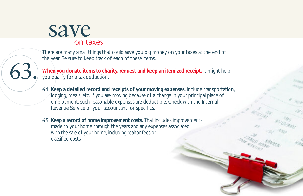#### save on taxes

63.

There are many small things that could save you big money on your taxes at the end of the year. Be sure to keep track of each of these items.

**When you donate items to charity, request and keep an itemized receipt.** It might help you qualify for a tax deduction.

- **64. Keep a detailed record and receipts of your moving expenses.** Include transportation, lodging, meals, etc. If you are moving because of a change in your principal place of employment, such reasonable expenses are deductible. Check with the Internal Revenue Service or your accountant for specifics.
- **65. Keep a record of home improvement costs.** That includes improvements made to your home through the years and any expenses associated with the sale of your home, including realtor fees or classified costs.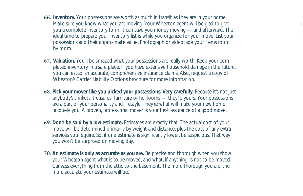- **66. Inventory.** Your possessions are worth as much in transit as they are in your home. Make sure you know what you are moving. Your Wheaton agent will be glad to give you a complete inventory form. It can save you money moving — and afterward. The ideal time to prepare your inventory list is while you organize for your move. List your possessions and their approximate value. Photograph or videotape your items room by room.
- **67. Valuation.** You'll be amazed what your possessions are really worth. Keep your completed inventory in a safe place. If you have extensive household damage in the future, you can establish accurate, comprehensive insurance claims. Also, request a copy of Wheaton's *Carrier Liability Options* brochure for more information.
- **68. Pick your mover like you picked your possessions. Very carefully.** Because it's not just anybody's trinkets, treasures, furniture or heirlooms — they're yours. Your possessions are a part of your personality and lifestyle. They're what will make your new home uniquely you. A proven, professional mover is your best assurance of a good move.
- **69. Don't be sold by a low estimate.** Estimates are exactly that. The actual cost of your move will be determined primarily by weight and distance, plus the cost of any extra services you require. So, if one estimate is significantly lower, be suspicious. That way you won't be surprised on moving day.
- **70. An estimate is only as accurate as you are.** Be precise and thorough when you show your Wheaton agent what is to be moved, and what, if anything, is not to be moved. Canvass everything from the attic to the basement. The more thorough you are, the more accurate your estimate will be.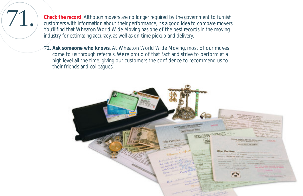T1. Check the record. Although movers are no longer required by the government to furnish<br>customers with information about their performance, it's a good idea to compare movers<br>You'll find that Wheaton World Wide Moving ha customers with information about their performance, it's a good idea to compare movers. You'll find that Wheaton World Wide Moving has one of the best records in the moving industry for estimating accuracy, as well as on-time pickup and delivery.

> **72. Ask someone who knows.** At Wheaton World Wide Moving, most of our moves come to us through referrals. We're proud of that fact and strive to perform at a high level all the time, giving our customers the confidence to recommend us to their friends and colleagues.

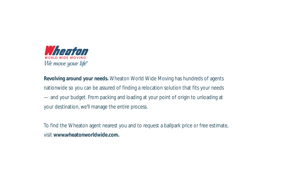

**Revolving around your needs.** Wheaton World Wide Moving has hundreds of agents nationwide so you can be assured of finding a relocation solution that fits your needs — and your budget. From packing and loading at your point of origin to unloading at your destination, we'll manage the entire process.

To find the Wheaton agent nearest you and to request a ballpark price or free estimate, visit **www.wheatonworldwide.com.**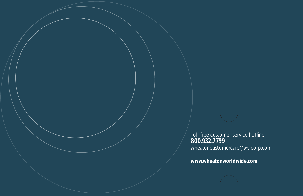Toll-free customer service hotline: **800.932.7799** wheatoncustomercare@wvlcorp.com

**www.wheatonworldwide.com**